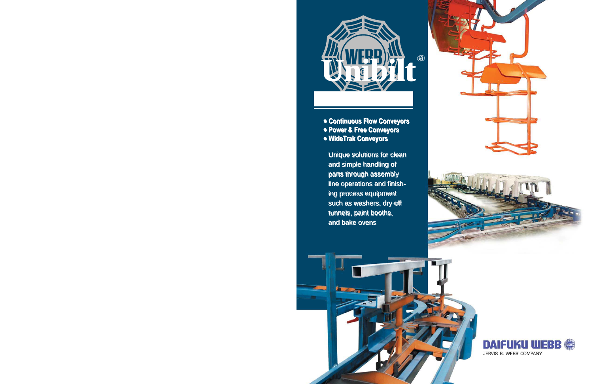

- **•** Continuous Flow Conveyors **•** Power & Free Conveyors
- **• •**

Unique solutions for clean Unique solutions for clean and simple handling of and simple handling of parts through assembly parts through assembly line operations and finishing process equipment ing process equipment such as washers, dry off such as washers, dry-off tunnels, paint booths, tunnels, paint booths, and bake ovens and bake ovens





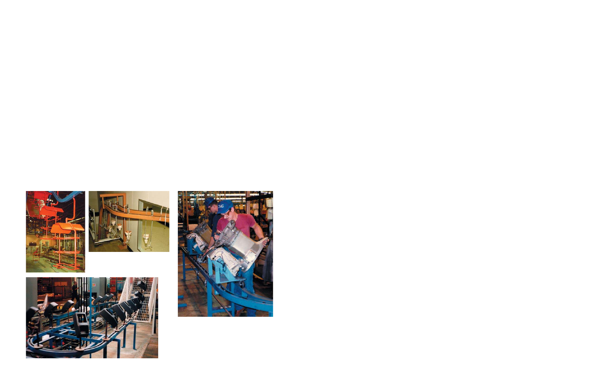





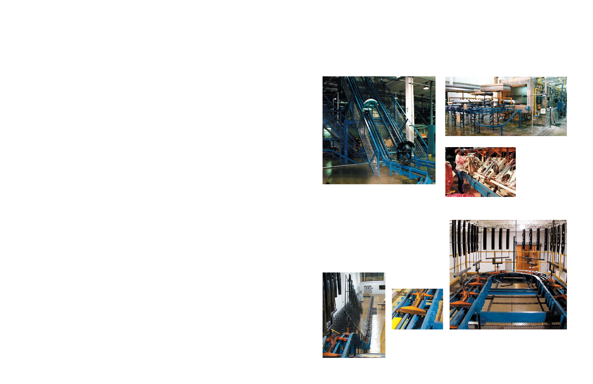